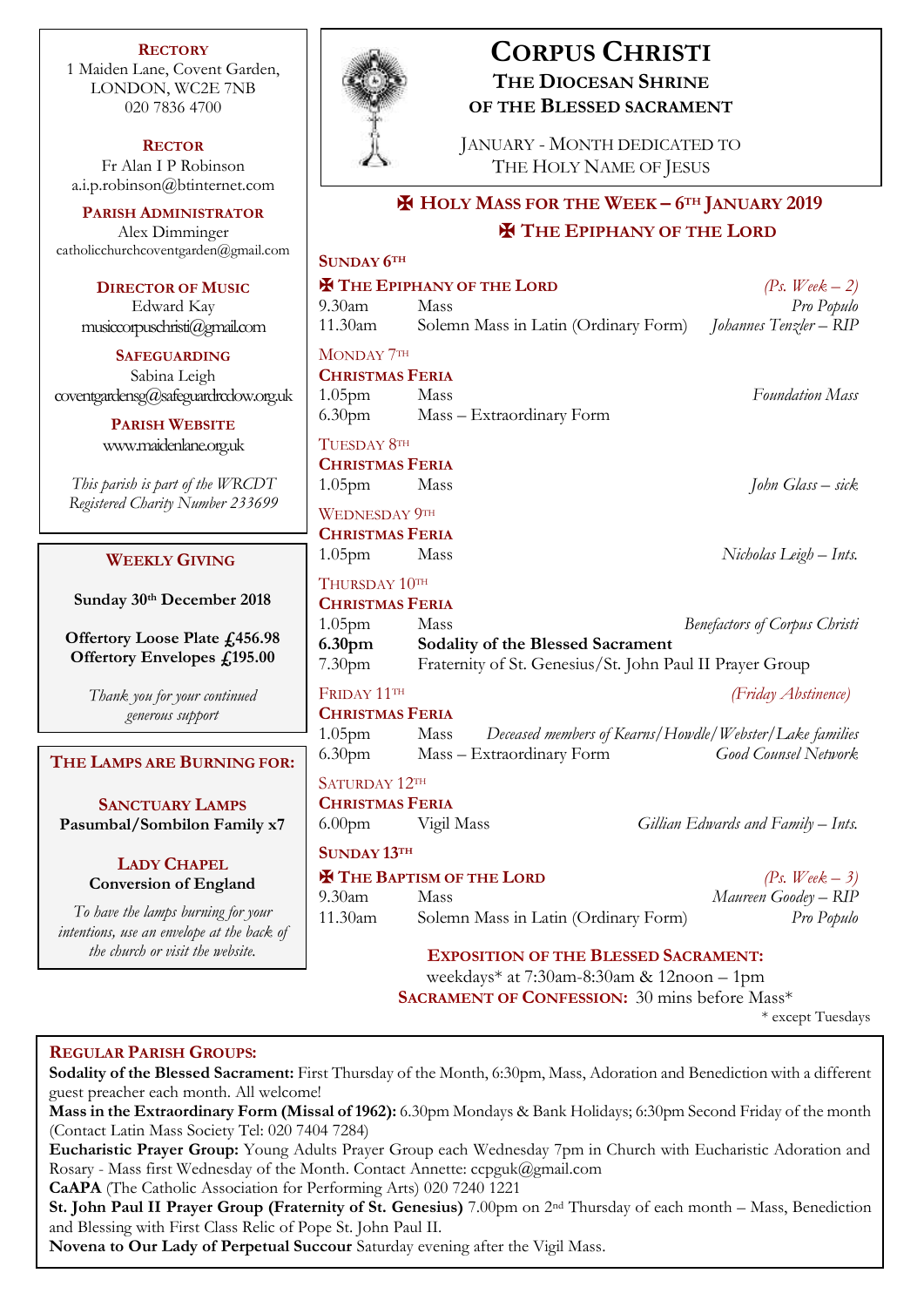**RECTORY** 1 Maiden Lane, Covent Garden, LONDON, WC2E 7NB 020 7836 4700

**RECTOR** Fr Alan I P Robinson [a.i.p.robinson@btinternet.com](mailto:a.i.p.robinson@btinternet.com)

**PARISH ADMINISTRATOR** Alex Dimminger [catholicchurchcoventgarden@gmail.com](mailto:catholicchurchcoventgarden@gmail.com)

**DIRECTOR OF MUSIC** Edward Kay musiccorpuschristi@gmail.com

**SAFEGUARDING** Sabina Leigh coventgardensg@safeguardrcdow.org.u

> **PARISH WEBSITE** [www.maidenlane.org.uk](http://www.maidenlane.org.uk/)

*This parish is part of the WRCDT Registered Charity Number 233699*

# **WEEKLY GIVING**

**Sunday 30th December 2018** 

**Offertory Loose Plate £456.98 Offertory Envelopes £195.00**

> *Thank you for your continued generous support*

**THE LAMPS ARE BURNING FOR:**

**SANCTUARY LAMPS Pasumbal/Sombilon Family x7**

> **LADY CHAPEL Conversion of England**

*To have the lamps burning for your intentions, use an envelope at the back of the church or visit the website.* 



# **CORPUS CHRISTI THE DIOCESAN SHRINE OF THE BLESSED SACRAMENT**

JANUARY - MONTH DEDICATED TO THE HOLY NAME OF JESUS

# ✠ **HOLY MASS FOR THE WEEK – 6TH JANUARY 2019** ✠ **THE EPIPHANY OF THE LORD**

| Щ                                                    | <b>SUNDAY 6TH</b>                                                                                                                         |                                                         |                                      |  |
|------------------------------------------------------|-------------------------------------------------------------------------------------------------------------------------------------------|---------------------------------------------------------|--------------------------------------|--|
|                                                      | <b>H</b> THE EPIPHANY OF THE LORD<br>(Ps. Week $-2$ )                                                                                     |                                                         |                                      |  |
|                                                      | 9.30am                                                                                                                                    | Mass                                                    | Pro Populo                           |  |
|                                                      | 11.30am                                                                                                                                   | Solemn Mass in Latin (Ordinary Form)                    | Johannes Tenzler – RIP               |  |
|                                                      | MONDAY 7TH                                                                                                                                |                                                         |                                      |  |
|                                                      | <b>CHRISTMAS FERIA</b>                                                                                                                    |                                                         |                                      |  |
| k                                                    | 1.05 <sub>pm</sub>                                                                                                                        | Mass                                                    | <b>Foundation Mass</b>               |  |
|                                                      | 6.30 <sub>pm</sub>                                                                                                                        | Mass - Extraordinary Form                               |                                      |  |
|                                                      | TUESDAY 8TH                                                                                                                               |                                                         |                                      |  |
|                                                      |                                                                                                                                           | <b>CHRISTMAS FERIA</b>                                  |                                      |  |
|                                                      | 1.05 <sub>pm</sub>                                                                                                                        | Mass                                                    | John Glass – sick                    |  |
|                                                      | <b>WEDNESDAY 9TH</b>                                                                                                                      |                                                         |                                      |  |
|                                                      | <b>CHRISTMAS FERIA</b>                                                                                                                    |                                                         |                                      |  |
|                                                      | 1.05pm                                                                                                                                    | Mass                                                    | Nicholas Leigh – Ints.               |  |
|                                                      | THURSDAY 10TH<br><b>CHRISTMAS FERIA</b>                                                                                                   |                                                         |                                      |  |
|                                                      |                                                                                                                                           |                                                         |                                      |  |
|                                                      | 1.05 <sub>pm</sub>                                                                                                                        | Mass                                                    | <b>Benefactors of Corpus Christi</b> |  |
|                                                      | 6.30 <sub>pm</sub><br>Sodality of the Blessed Sacrament<br>Fraternity of St. Genesius/St. John Paul II Prayer Group<br>7.30 <sub>pm</sub> |                                                         |                                      |  |
|                                                      |                                                                                                                                           |                                                         |                                      |  |
|                                                      | FRIDAY 11TH                                                                                                                               |                                                         | (Friday Abstinence)                  |  |
|                                                      | <b>CHRISTMAS FERIA</b>                                                                                                                    |                                                         |                                      |  |
|                                                      | 1.05pm Mass                                                                                                                               | Deceased members of Kearns/Howdle/Webster/Lake families |                                      |  |
| š.                                                   | 6.30 <sub>pm</sub>                                                                                                                        | Mass - Extraordinary Form                               | Good Counsel Network                 |  |
| SATURDAY 12TH                                        |                                                                                                                                           |                                                         |                                      |  |
|                                                      | <b>CHRISTMAS FERIA</b>                                                                                                                    |                                                         |                                      |  |
|                                                      | 6.00 <sub>pm</sub>                                                                                                                        | Vigil Mass                                              | Gillian Edwards and Family – Ints.   |  |
|                                                      | <b>SUNDAY 13TH</b>                                                                                                                        |                                                         |                                      |  |
|                                                      | <b>H</b> THE BAPTISM OF THE LORD                                                                                                          |                                                         | (Ps. Week $-3$ )                     |  |
|                                                      | 9.30am                                                                                                                                    | Mass                                                    | Maureen Goodey - RIP                 |  |
|                                                      | 11.30am                                                                                                                                   | Solemn Mass in Latin (Ordinary Form)                    | Pro Populo                           |  |
|                                                      |                                                                                                                                           | <b>EXPOSITION OF THE BLESSED SACRAMENT:</b>             |                                      |  |
| weekdays* at 7:30am-8:30am & 12noon - 1pm            |                                                                                                                                           |                                                         |                                      |  |
| <b>SACRAMENT OF CONFESSION:</b> 30 mins before Mass* |                                                                                                                                           |                                                         |                                      |  |
|                                                      |                                                                                                                                           |                                                         |                                      |  |

\* except Tuesdays

## **REGULAR PARISH GROUPS:**

**Sodality of the Blessed Sacrament:** First Thursday of the Month, 6:30pm, Mass, Adoration and Benediction with a different guest preacher each month. All welcome!

**Mass in the Extraordinary Form (Missal of 1962):** 6.30pm Mondays & Bank Holidays; 6:30pm Second Friday of the month (Contact Latin Mass Society Tel: 020 7404 7284)

**Eucharistic Prayer Group:** Young Adults Prayer Group each Wednesday 7pm in Church with Eucharistic Adoration and Rosary - Mass first Wednesday of the Month. Contact Annette: ccpguk@gmail.com

**CaAPA** (The Catholic Association for Performing Arts) 020 7240 1221

**St. John Paul II Prayer Group (Fraternity of St. Genesius)** 7.00pm on 2nd Thursday of each month – Mass, Benediction and Blessing with First Class Relic of Pope St. John Paul II.

**Novena to Our Lady of Perpetual Succour** Saturday evening after the Vigil Mass.